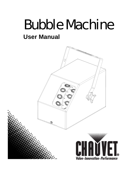# Bubble Machine **User Manual**

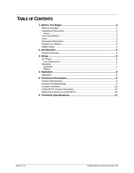### **TABLE OF CONTENTS**

| 3  |
|----|
|    |
|    |
|    |
|    |
|    |
|    |
|    |
|    |
|    |
|    |
|    |
|    |
|    |
|    |
|    |
|    |
|    |
|    |
|    |
|    |
|    |
|    |
|    |
|    |
| 11 |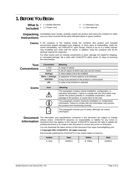### **1. BEFORE YOU BEGIN**

- What Is 1 x Bubble Machine
- **Included** 1 x Power Cord
- 1 x Warranty Card
- 1 x User Manual

# **Instructions**

Unpacking Immediately upon receipt, carefully unpack the product and check the container to make sure you have received all the parts indicated above in good condition.

**Claims** If the container or the material inside the container (the product and included accessories) appear damaged from shipping, or show signs of mishandling, notify the carrier immediately, not CHAUVET®, upon receipt. Failure to do so in a timely manner may invalidate your claim with the carrier. In addition, keep the container and all the packing material for inspection.

> For other issues such as missing components or parts, damage not related to shipping, or concealed damage, file a claim with CHAUVET® within seven (7) days of receiving the merchandise.

| Text               | <b>Convention</b>      | <b>Meaning</b>                                                                                                                                                                                                                                               |  |  |  |
|--------------------|------------------------|--------------------------------------------------------------------------------------------------------------------------------------------------------------------------------------------------------------------------------------------------------------|--|--|--|
| <b>Conventions</b> | $1 - 512$              | A range of values                                                                                                                                                                                                                                            |  |  |  |
|                    | 50/60                  | A set of values of which only one can be chosen                                                                                                                                                                                                              |  |  |  |
|                    | <b>Settings</b>        | A menu option not to be modified                                                                                                                                                                                                                             |  |  |  |
|                    | <b>Menu</b> > Settings | A sequence of menu options to be followed                                                                                                                                                                                                                    |  |  |  |
|                    | <enter></enter>        | A key to be pressed on the product's control panel                                                                                                                                                                                                           |  |  |  |
|                    | ON                     | A value to be entered or selected                                                                                                                                                                                                                            |  |  |  |
| <b>Icons</b>       | <b>Icon</b>            | Meaning                                                                                                                                                                                                                                                      |  |  |  |
|                    |                        | This paragraph contains critical installation, configuration, or<br>operation information. Failure to comply with this information may<br>render the product partially or completely inoperative, cause<br>damage to the product, or cause harm to the user. |  |  |  |
|                    |                        | This paragraph contains important installation or configuration<br>information. Failure to comply with this information may prevent<br>the product from functioning correctly.                                                                               |  |  |  |
|                    |                        | This paragraph reminds you of useful, although not critical,<br>information.                                                                                                                                                                                 |  |  |  |

**Document** The information and specifications contained in this document are subject to change **Information** omissions that may appear in this manual. CHAUVET® reserves the right to update the without notice. CHAUVET<sup>®</sup> assumes no responsibility or liability for any errors or existing document or to create a new document to correct any errors or omissions.

You can download the latest version of this document from www.chauvetlighting.com.

#### **© Copyright 2011 CHAUVET®. All rights reserved**

Electronically published by CHAUVET® in the United States of America

| Author     | Date    | Editor             | <b>Date</b> |
|------------|---------|--------------------|-------------|
| Diaz<br>н. | 0/06/11 | Pillow<br>D.<br>D. | 10/28/11    |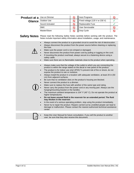| <b>Product at a Use on Dimmer</b> |                                                                                                                                                                                                                                                                                                                                                                                                                                                                                                                                                                                                                                                                                                                                                                                                                                                                                                                                                                                                                                                                                                                                                                                                                                                                                                                                                                            | $\infty$                  | Auto Programs                                                                                                                                                                   |              |
|-----------------------------------|----------------------------------------------------------------------------------------------------------------------------------------------------------------------------------------------------------------------------------------------------------------------------------------------------------------------------------------------------------------------------------------------------------------------------------------------------------------------------------------------------------------------------------------------------------------------------------------------------------------------------------------------------------------------------------------------------------------------------------------------------------------------------------------------------------------------------------------------------------------------------------------------------------------------------------------------------------------------------------------------------------------------------------------------------------------------------------------------------------------------------------------------------------------------------------------------------------------------------------------------------------------------------------------------------------------------------------------------------------------------------|---------------------------|---------------------------------------------------------------------------------------------------------------------------------------------------------------------------------|--------------|
|                                   | Glance Outdoor Use                                                                                                                                                                                                                                                                                                                                                                                                                                                                                                                                                                                                                                                                                                                                                                                                                                                                                                                                                                                                                                                                                                                                                                                                                                                                                                                                                         | $\pmb{\circlearrowright}$ | Fixed voltage (120 V or 230 V)                                                                                                                                                  |              |
|                                   | Sound Activated                                                                                                                                                                                                                                                                                                                                                                                                                                                                                                                                                                                                                                                                                                                                                                                                                                                                                                                                                                                                                                                                                                                                                                                                                                                                                                                                                            | $\mathsf{\Omega}$         | Replaceable Fuse                                                                                                                                                                |              |
|                                   | DMX                                                                                                                                                                                                                                                                                                                                                                                                                                                                                                                                                                                                                                                                                                                                                                                                                                                                                                                                                                                                                                                                                                                                                                                                                                                                                                                                                                        | $\mathsf{\Omega}$         | <b>User Serviceable</b>                                                                                                                                                         | $\mathcal O$ |
|                                   | Master/Slave                                                                                                                                                                                                                                                                                                                                                                                                                                                                                                                                                                                                                                                                                                                                                                                                                                                                                                                                                                                                                                                                                                                                                                                                                                                                                                                                                               | $\mathsf{\Omega}$         | Duty Cycle                                                                                                                                                                      |              |
| <b>Safety Notes</b>               |                                                                                                                                                                                                                                                                                                                                                                                                                                                                                                                                                                                                                                                                                                                                                                                                                                                                                                                                                                                                                                                                                                                                                                                                                                                                                                                                                                            |                           | Please read the following Safety Notes carefully before working with the product. The<br>Notes include important safety information about installation, usage, and maintenance. |              |
|                                   | Always connect the product to a grounded circuit to avoid the risk of electrocution.<br>$\bullet$<br>Always disconnect the product from the power source before cleaning or replacing<br>$\bullet$<br>the fuse.<br>Make sure the power cord is not crimped or damaged.<br>Never disconnect the product from power cord by pulling or tugging on the cord.<br>If mounting the product overhead, always secure to a fastening device using a<br>safety cable.<br>Make sure there are no flammable materials close to the product when operating.                                                                                                                                                                                                                                                                                                                                                                                                                                                                                                                                                                                                                                                                                                                                                                                                                             |                           |                                                                                                                                                                                 |              |
|                                   | Always make sure that the voltage of the outlet to which you are connecting the<br>$\bullet$<br>product is within the range stated on the decal or rear panel of the product.<br>The product is for indoor use only! (IP20) To prevent risk of fire or shock, do not<br>$\bullet$<br>expose the product to rain or moisture.<br>Always install the product in a location with adequate ventilation, at least 20 in (50<br>$\bullet$<br>cm) from adjacent surfaces.<br>Be sure that no ventilation slots on the product's housing are blocked.<br>$\bullet$<br>Never connect the product to a dimmer.<br>$\bullet$<br>Make sure to replace the fuse with another of the same type and rating.<br>Never carry the product from the power cord or any moving part. Always use the<br>hanging/mounting bracket or the handles.<br>The maximum ambient temperature is 104° F (40° C). Do not operate the product at<br>$\bullet$<br>higher temperatures.<br>Do not leave unused fluid in the reservoir for an extended period. The fluid<br>may thicken in the reservoir.<br>In the event of a serious operating problem, stop using the product immediately.<br>$\bullet$<br>Never try to repair the product. Repairs carried out by unskilled people can lead to<br>$\bullet$<br>damage or malfunction. Please contact the nearest authorized technical assistance<br>center. |                           |                                                                                                                                                                                 |              |
|                                   |                                                                                                                                                                                                                                                                                                                                                                                                                                                                                                                                                                                                                                                                                                                                                                                                                                                                                                                                                                                                                                                                                                                                                                                                                                                                                                                                                                            |                           | Keep this User Manual for future consultation. If you sell the product to another                                                                                               |              |
|                                   | user, be sure that they also receive this document.                                                                                                                                                                                                                                                                                                                                                                                                                                                                                                                                                                                                                                                                                                                                                                                                                                                                                                                                                                                                                                                                                                                                                                                                                                                                                                                        |                           |                                                                                                                                                                                 |              |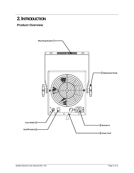### **2. INTRODUCTION**

### **Product Overview**

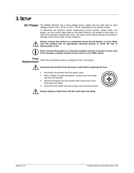### **3. SETUP**

#### AC Power The Bubble Machine has a fixed voltage power supply and can work with an input voltage of either 120 V, 60 Hz or 230 V, 50 Hz, depending on the specific model.

To determine the product's power requirements (circuit breaker, power outlet, and wiring), use the current value listed on the label affixed to the product's back panel, or refer to the product's specification chart. The listed current rating indicates the product's average current draw under normal conditions.



**Always connect the product to a protected circuit (circuit breaker or fuse). Make sure the product has an appropriate electrical ground to avoid the risk of electrocution or fire.** 



**Never connect the product to a rheostat (variable resistor) or dimmer circuit, even if the rheostat or dimmer channel serves only as a 0 to 100% switch.** 

**Fuse** 



**Replacement** Follow the instructions below to change the fuse, if necessary.



#### **Disconnect the product from the power outlet before replacing the fuse.**

- 1. Disconnect the product from the power outlet.
- 2. With a Phillips #2 head screwdriver, unscrew the fuse holder cap from the housing.
- 3. Remove the blown fuse and replace with a good fuse of the same type and rating.



4. Screw the fuse holder cap back in place and reconnect power.



#### **Always replace a blown fuse with the same type and rating.**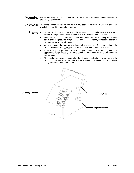**Mounting** Before mounting the product, read and follow the safety recommendations indicated in the *Safety Notes* section.

- **Orientation** The Bubble Machine may be mounted in any position; however, make sure adequate ventilation is provided around the product.
	- Rigging Before deciding on a location for the product, always make sure there is easy access to the product for maintenance and fluid replenishment purposes.
		- Make sure that the structure or surface onto which you are mounting the product can support the product's weight. Please see the *Technical Specifications* section of this manual for weight information.
		- When mounting the product overhead, always use a safety cable. Mount the product securely to a rigging point, whether an elevated platform or a truss.
		- When rigging the product onto a truss, you should use a mounting clamp of appropriate weight capacity. The bracket has a 13 mm hole, which is appropriate for this purpose.
		- The bracket adjustment knobs allow for directional adjustment when aiming the product to the desired angle. Only loosen or tighten the bracket knobs manually. Using tools could damage the knobs.



**Mounting Diagram**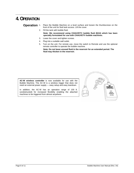### **4. OPERATION**

**Operation** 1. Place the Bubble Machine on a level surface and loosen the thumbscrews on the front of the unit for fluid tank access. Lift the cover.

- 2. Fill the tank with bubble fluid. **Note: We recommend using CHAUVET® bubble fluid (BJU) which has been specially formulated for use with CHAUVET® bubble machines.**
- 3. Lower the cover and tighten screws.
- 4. Plug into a suitable wall outlet.
- 5. Turn on the unit. For remote use, move the switch to Remote and use the optional remote controller to operate the bubble machine.

**Note: Do not leave unused fluid in the reservoir for an extended period. The fluid may thicken in the reservoir.** 



**AC-W wireless controller** is now available for use with the Bubble Machine. The AC-W is a wireless trigger that does not need an external power supply — easy setup and easy teardown.

In addition, the AC-W has an operation range of 100 ft. (unobstructed) for increased flexibility enabling the attached machines to be triggered from almost anywhere.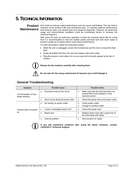### **5. TECHNICAL INFORMATION**

## **Maintenance**

**Product** Dust build up reduces output performance and can cause overheating. This can lead to reduction of the product's life and mechanical wear. To maintain optimum performance and minimize wear, you should clean your products frequently. However, be aware that usage and environmental conditions could be contributing factors to increase the cleaning frequency.

> After every 40 hours of continuous operation or when the machine will be idle for a long time it is recommended to rinse the bubble wands and fluid tank with warm water to prevent a build-up of residue which could reduce performance.

To clean the product, follow the instructions below:

- While the unit is unplugged, loosen the thumbscrew and lift cover to reveal the fluid tank.
- Empty all bubble fluid from the tank and replace with warm water.
- Plug the product in and allow it to run as usual until all wands appear to be free of residue.



**Always dry the surfaces carefully after cleaning them.** 

**Do not spin the fan using compressed air because you could damage it.** 

#### **General Troubleshooting**

| Symptom                                  | <b>Possible Cause</b>                            | <b>Possible Action</b>                                                                         |  |  |
|------------------------------------------|--------------------------------------------------|------------------------------------------------------------------------------------------------|--|--|
| Circuit breaker or fuse<br>keeps blowing | Excessive load on the circuit                    | Make sure that the total load does not<br>exceed 80% of the breaker or fuse<br>nominal current |  |  |
|                                          | Short circuit along the power lines<br>$\bullet$ | Check the power lines and power cords<br>$\bullet$                                             |  |  |
| Product does not power<br>up             | No energy on power outlet<br>٠                   | Check power outlet<br>Change to another outlet                                                 |  |  |
|                                          | Loose or damaged power cord                      | Check the power cord                                                                           |  |  |
|                                          | Blown fuse<br>٠                                  | Replace blown fuse with a good one of<br>the same type and rating                              |  |  |
|                                          | Internal problem<br>$\bullet$                    | Send product for repair                                                                        |  |  |



**If you still experience problems after trying the above solutions, contact CHAUVET® Technical Support.**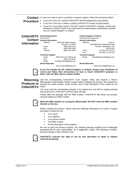#### Contact In case you need to return a product or request support, follow the procedure below:

#### **Procedure**

- If you live in the US, contact CHAUVET® World Headquarters (see below). If you live in the UK or Ireland, contact CHAUVET® Europe Ltd.(see below).
- If you live in any other country, DO NOT contact CHAUVET®. Instead, contact your distributor of record. Refer to our Web site for contact details of distributors outside the US, United Kingdom, or Ireland.

| <b>CHAUVET®</b>          | <b>World Headquarters</b>  |                          |                            | <b>United Kingdom &amp; Ireland</b>     |
|--------------------------|----------------------------|--------------------------|----------------------------|-----------------------------------------|
|                          | <b>CHAUVET®</b>            |                          | CHAUVET® Europe Ltd.       |                                         |
| <b>Contact</b>           | <b>General Information</b> |                          | <b>General Information</b> |                                         |
| <b>Information</b>       | Address:                   | 5200 NW 108th Avenue     | Address:                   | Unit 1C                                 |
|                          |                            | Sunrise, FL 33351        |                            | <b>Brookhill Road Industrial Estate</b> |
|                          | Voice:                     | (954) 929-1115           |                            | Pinxton, Nottingham, UK                 |
|                          | Fax:                       | (954) 929-5560           |                            | <b>NG16 6NT</b>                         |
|                          | Toll free:                 | (800) 762-1084           | Voice:                     | +44 (0) 1773 511115                     |
|                          |                            |                          | Fax:                       | +44 (0) 1773 511110                     |
| <b>Technical Support</b> |                            | <b>Technical Support</b> |                            |                                         |
|                          | Voice:                     | (954) 929-1115 (Press 4) | Email:                     | uktech@chauvetlighting.com              |
|                          | Fax:                       | (954) 756-8015           |                            |                                         |
|                          | Email:                     | tech@chauvetlighting.com |                            |                                         |

*World Wide Web* 

www.chauvetlighting.com



**If you live outside the US, United Kingdom, or Ireland, contact your distributor of record and follow their instructions on how to return CHAUVET® products to them. Visit our Web site for contact details.** 

*World Wide Web* 

www.chauvetlighting.co.uk

### **Products to CHAUVET®**

**Returning** Call the corresponding CHAUVET® Tech Support office and request a Return Merchandise Authorization (RMA) number before shipping the product. Be prepared to provide the model number, serial number, and a brief description of the cause for the return.

> You must send the merchandise prepaid, in its original box, and with its original packing and accessories. CHAUVET® will not issue call tags.

> Clearly label the package with the RMA number. CHAUVET® will refuse any product returned without an RMA number.



#### **Write the RMA number on a properly affixed label. DO NOT write the RMA number directly on the box.**

Before sending the product, clearly write the following information on a piece of paper and place it inside the box:

- Your name
- Your address
- Your phone number
- The RMA number
- A brief description of the problem

Be sure to pack the product properly. Any shipping damage resulting from inadequate packaging will be your responsibility. As a suggestion, proper UPS packing or doubleboxing is always a safe method to use.



**CHAUVET® reserves the right to use its own discretion to repair or replace returned product(s).**